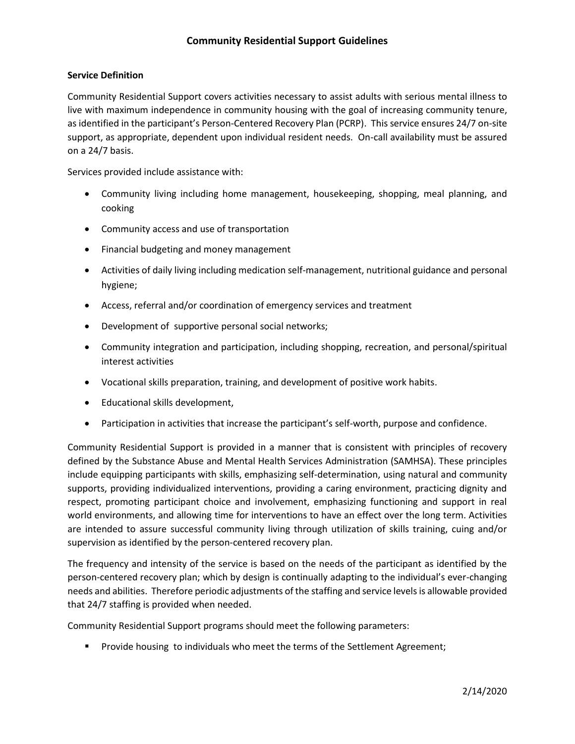# **Community Residential Support Guidelines**

### **Service Definition**

Community Residential Support covers activities necessary to assist adults with serious mental illness to live with maximum independence in community housing with the goal of increasing community tenure, as identified in the participant's Person-Centered Recovery Plan (PCRP). This service ensures 24/7 on-site support, as appropriate, dependent upon individual resident needs. On-call availability must be assured on a 24/7 basis.

Services provided include assistance with:

- Community living including home management, housekeeping, shopping, meal planning, and cooking
- Community access and use of transportation
- Financial budgeting and money management
- Activities of daily living including medication self-management, nutritional guidance and personal hygiene;
- Access, referral and/or coordination of emergency services and treatment
- Development of supportive personal social networks;
- Community integration and participation, including shopping, recreation, and personal/spiritual interest activities
- Vocational skills preparation, training, and development of positive work habits.
- Educational skills development,
- Participation in activities that increase the participant's self-worth, purpose and confidence.

Community Residential Support is provided in a manner that is consistent with principles of recovery defined by the Substance Abuse and Mental Health Services Administration (SAMHSA). These principles include equipping participants with skills, emphasizing self-determination, using natural and community supports, providing individualized interventions, providing a caring environment, practicing dignity and respect, promoting participant choice and involvement, emphasizing functioning and support in real world environments, and allowing time for interventions to have an effect over the long term. Activities are intended to assure successful community living through utilization of skills training, cuing and/or supervision as identified by the person-centered recovery plan.

The frequency and intensity of the service is based on the needs of the participant as identified by the person-centered recovery plan; which by design is continually adapting to the individual's ever-changing needs and abilities. Therefore periodic adjustments of the staffing and service levels is allowable provided that 24/7 staffing is provided when needed.

Community Residential Support programs should meet the following parameters:

**Provide housing to individuals who meet the terms of the Settlement Agreement;**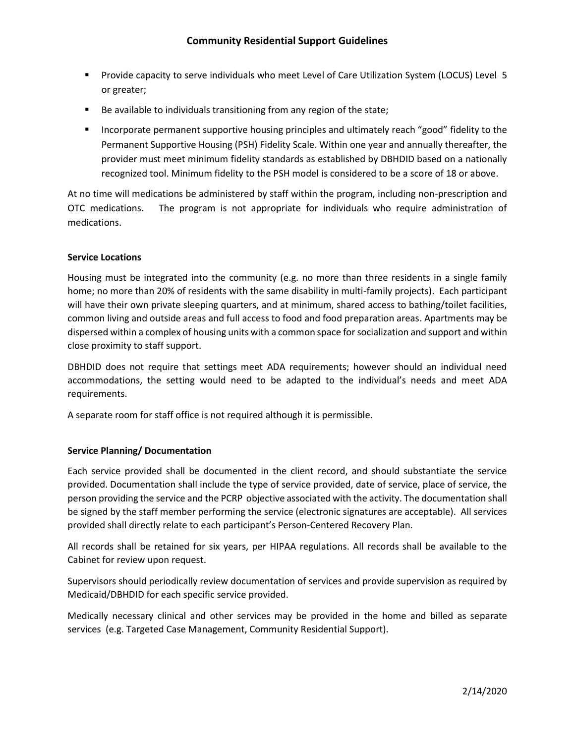- Provide capacity to serve individuals who meet Level of Care Utilization System (LOCUS) Level 5 or greater;
- Be available to individuals transitioning from any region of the state;
- **Incorporate permanent supportive housing principles and ultimately reach "good" fidelity to the** Permanent Supportive Housing (PSH) Fidelity Scale. Within one year and annually thereafter, the provider must meet minimum fidelity standards as established by DBHDID based on a nationally recognized tool. Minimum fidelity to the PSH model is considered to be a score of 18 or above.

At no time will medications be administered by staff within the program, including non-prescription and OTC medications. The program is not appropriate for individuals who require administration of medications.

## **Service Locations**

Housing must be integrated into the community (e.g. no more than three residents in a single family home; no more than 20% of residents with the same disability in multi-family projects). Each participant will have their own private sleeping quarters, and at minimum, shared access to bathing/toilet facilities, common living and outside areas and full access to food and food preparation areas. Apartments may be dispersed within a complex of housing units with a common space for socialization and support and within close proximity to staff support.

DBHDID does not require that settings meet ADA requirements; however should an individual need accommodations, the setting would need to be adapted to the individual's needs and meet ADA requirements.

A separate room for staff office is not required although it is permissible.

## **Service Planning/ Documentation**

Each service provided shall be documented in the client record, and should substantiate the service provided. Documentation shall include the type of service provided, date of service, place of service, the person providing the service and the PCRP objective associated with the activity. The documentation shall be signed by the staff member performing the service (electronic signatures are acceptable). All services provided shall directly relate to each participant's Person-Centered Recovery Plan.

All records shall be retained for six years, per HIPAA regulations. All records shall be available to the Cabinet for review upon request.

Supervisors should periodically review documentation of services and provide supervision as required by Medicaid/DBHDID for each specific service provided.

Medically necessary clinical and other services may be provided in the home and billed as separate services (e.g. Targeted Case Management, Community Residential Support).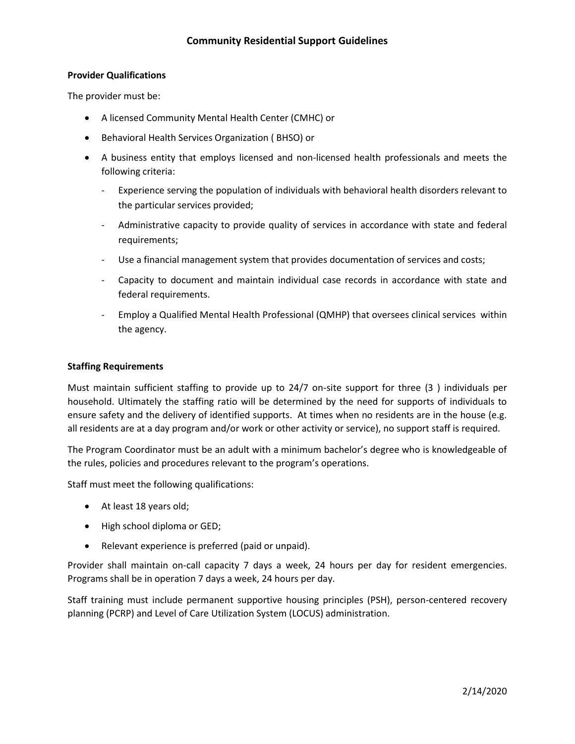### **Provider Qualifications**

The provider must be:

- A licensed Community Mental Health Center (CMHC) or
- Behavioral Health Services Organization ( BHSO) or
- A business entity that employs licensed and non-licensed health professionals and meets the following criteria:
	- Experience serving the population of individuals with behavioral health disorders relevant to the particular services provided;
	- Administrative capacity to provide quality of services in accordance with state and federal requirements;
	- Use a financial management system that provides documentation of services and costs;
	- Capacity to document and maintain individual case records in accordance with state and federal requirements.
	- Employ a Qualified Mental Health Professional (QMHP) that oversees clinical services within the agency.

#### **Staffing Requirements**

Must maintain sufficient staffing to provide up to 24/7 on-site support for three (3 ) individuals per household. Ultimately the staffing ratio will be determined by the need for supports of individuals to ensure safety and the delivery of identified supports. At times when no residents are in the house (e.g. all residents are at a day program and/or work or other activity or service), no support staff is required.

The Program Coordinator must be an adult with a minimum bachelor's degree who is knowledgeable of the rules, policies and procedures relevant to the program's operations.

Staff must meet the following qualifications:

- At least 18 years old;
- High school diploma or GED;
- Relevant experience is preferred (paid or unpaid).

Provider shall maintain on-call capacity 7 days a week, 24 hours per day for resident emergencies. Programs shall be in operation 7 days a week, 24 hours per day.

Staff training must include permanent supportive housing principles (PSH), person-centered recovery planning (PCRP) and Level of Care Utilization System (LOCUS) administration.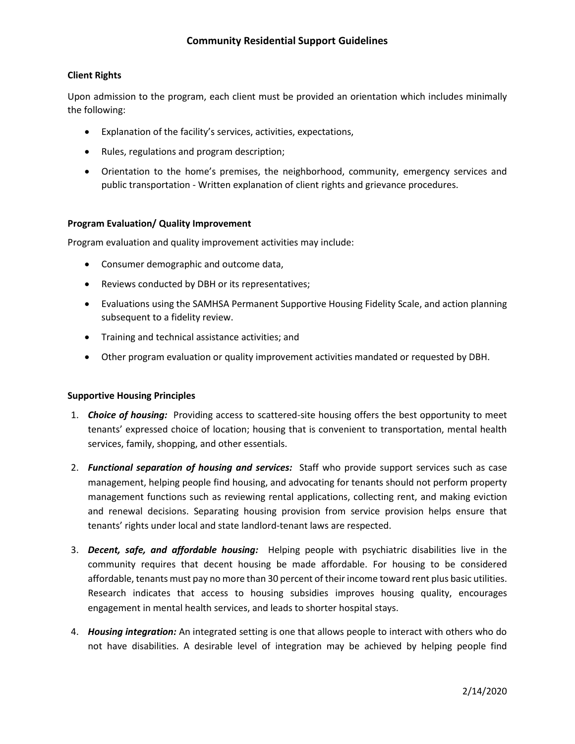## **Client Rights**

Upon admission to the program, each client must be provided an orientation which includes minimally the following:

- Explanation of the facility's services, activities, expectations,
- Rules, regulations and program description;
- Orientation to the home's premises, the neighborhood, community, emergency services and public transportation - Written explanation of client rights and grievance procedures.

#### **Program Evaluation/ Quality Improvement**

Program evaluation and quality improvement activities may include:

- Consumer demographic and outcome data,
- Reviews conducted by DBH or its representatives;
- Evaluations using the SAMHSA Permanent Supportive Housing Fidelity Scale, and action planning subsequent to a fidelity review.
- **•** Training and technical assistance activities; and
- Other program evaluation or quality improvement activities mandated or requested by DBH.

#### **Supportive Housing Principles**

- 1. *Choice of housing:* Providing access to scattered-site housing offers the best opportunity to meet tenants' expressed choice of location; housing that is convenient to transportation, mental health services, family, shopping, and other essentials.
- 2. *Functional separation of housing and services:* Staff who provide support services such as case management, helping people find housing, and advocating for tenants should not perform property management functions such as reviewing rental applications, collecting rent, and making eviction and renewal decisions. Separating housing provision from service provision helps ensure that tenants' rights under local and state landlord-tenant laws are respected.
- 3. *Decent, safe, and affordable housing:* Helping people with psychiatric disabilities live in the community requires that decent housing be made affordable. For housing to be considered affordable, tenants must pay no more than 30 percent of their income toward rent plus basic utilities. Research indicates that access to housing subsidies improves housing quality, encourages engagement in mental health services, and leads to shorter hospital stays.
- 4. *Housing integration:* An integrated setting is one that allows people to interact with others who do not have disabilities. A desirable level of integration may be achieved by helping people find